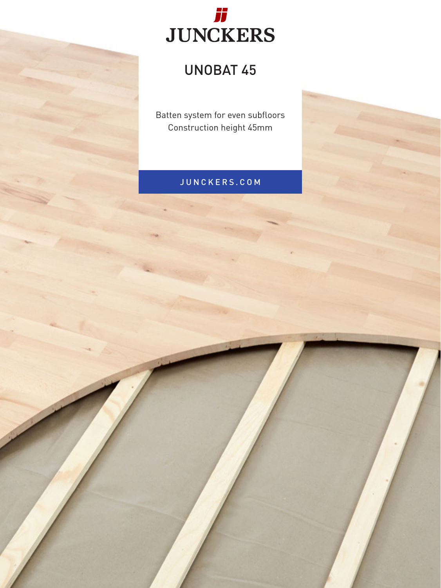

## UNOBAT 45

Batten system for even subfloors Construction height 45mm

## JUNCKERS.COM